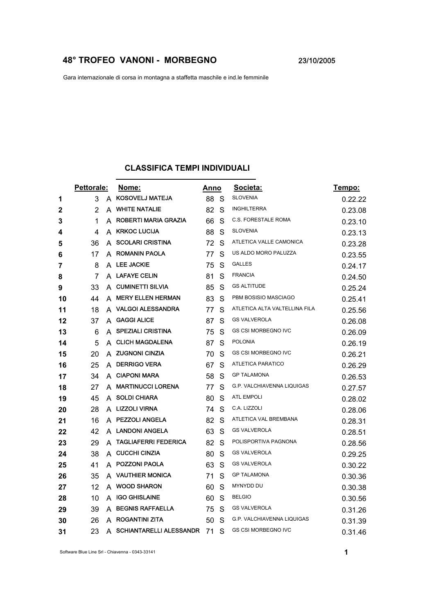## **48° TROFEO VANONI - MORBEGNO** 23/10/2005

Gara internazionale di corsa in montagna a staffetta maschile e ind.le femminile

## **CLASSIFICA TEMPI INDIVIDUALI**

|    | Pettorale: |   | Nome:                          | Anno |    | Societa:                      | Tempo:  |
|----|------------|---|--------------------------------|------|----|-------------------------------|---------|
| 1  | 3          | A | <b>KOSOVELJ MATEJA</b>         | 88   | -S | <b>SLOVENIA</b>               | 0.22.22 |
| 2  | 2          | A | <b>WHITE NATALIE</b>           | 82   | S  | <b>INGHILTERRA</b>            | 0.23.08 |
| 3  | 1          | A | ROBERTI MARIA GRAZIA           | 66   | S  | C.S. FORESTALE ROMA           | 0.23.10 |
| 4  | 4          | A | <b>KRKOC LUCIJA</b>            | 88   | S  | <b>SLOVENIA</b>               | 0.23.13 |
| 5  | 36         | A | <b>SCOLARI CRISTINA</b>        | 72   | S  | ATLETICA VALLE CAMONICA       | 0.23.28 |
| 6  | 17         | A | <b>ROMANIN PAOLA</b>           | 77   | S  | US ALDO MORO PALUZZA          | 0.23.55 |
| 7  | 8          | A | <b>LEE JACKIE</b>              | 75   | S  | <b>GALLES</b>                 | 0.24.17 |
| 8  | 7          |   | A LAFAYE CELIN                 | 81   | S  | <b>FRANCIA</b>                | 0.24.50 |
| 9  | 33         | A | <b>CUMINETTI SILVIA</b>        | 85   | S  | <b>GS ALTITUDE</b>            | 0.25.24 |
| 10 | 44         | А | <b>MERY ELLEN HERMAN</b>       | 83   | S  | PBM BOSISIO MASCIAGO          | 0.25.41 |
| 11 | 18         | A | <b>VALGOI ALESSANDRA</b>       | 77   | S  | ATLETICA ALTA VALTELLINA FILA | 0.25.56 |
| 12 | 37         | A | <b>GAGGI ALICE</b>             | 87   | S  | <b>GS VALVEROLA</b>           | 0.26.08 |
| 13 | 6          | A | <b>SPEZIALI CRISTINA</b>       | 75   | S  | <b>GS CSI MORBEGNO IVC</b>    | 0.26.09 |
| 14 | 5          |   | A CLICH MAGDALENA              | 87   | S  | <b>POLONIA</b>                | 0.26.19 |
| 15 | 20         |   | A ZUGNONI CINZIA               | 70   | S  | <b>GS CSI MORBEGNO IVC</b>    | 0.26.21 |
| 16 | 25         | A | <b>DERRIGO VERA</b>            | 67   | S  | ATLETICA PARATICO             | 0.26.29 |
| 17 | 34         | A | <b>CIAPONI MARA</b>            | 58   | S  | <b>GP TALAMONA</b>            | 0.26.53 |
| 18 | 27         | А | <b>MARTINUCCI LORENA</b>       | 77   | S  | G.P. VALCHIAVENNA LIQUIGAS    | 0.27.57 |
| 19 | 45         | A | <b>SOLDI CHIARA</b>            | 80   | S  | <b>ATL EMPOLI</b>             | 0.28.02 |
| 20 | 28         |   | A LIZZOLI VIRNA                | 74   | S  | C.A. LIZZOLI                  | 0.28.06 |
| 21 | 16         | A | <b>PEZZOLI ANGELA</b>          | 82   | S  | ATLETICA VAL BREMBANA         | 0.28.31 |
| 22 | 42         | A | <b>LANDONI ANGELA</b>          | 63   | S  | <b>GS VALVEROLA</b>           | 0.28.51 |
| 23 | 29         | A | <b>TAGLIAFERRI FEDERICA</b>    | 82   | S  | POLISPORTIVA PAGNONA          | 0.28.56 |
| 24 | 38         | A | <b>CUCCHI CINZIA</b>           | 80   | S  | <b>GS VALVEROLA</b>           | 0.29.25 |
| 25 | 41         | A | <b>POZZONI PAOLA</b>           | 63   | S  | <b>GS VALVEROLA</b>           | 0.30.22 |
| 26 | 35         | A | <b>VAUTHIER MONICA</b>         | 71   | S  | <b>GP TALAMONA</b>            | 0.30.36 |
| 27 | 12         | A | <b>WOOD SHARON</b>             | 60   | S  | MYNYDD DU                     | 0.30.38 |
| 28 | 10         | A | <b>IGO GHISLAINE</b>           | 60   | S  | <b>BELGIO</b>                 | 0.30.56 |
| 29 | 39         | A | <b>BEGNIS RAFFAELLA</b>        | 75   | S  | <b>GS VALVEROLA</b>           | 0.31.26 |
| 30 | 26         | A | <b>ROGANTINI ZITA</b>          | 50   | S  | G.P. VALCHIAVENNA LIQUIGAS    | 0.31.39 |
| 31 | 23         | A | <b>SCHIANTARELLI ALESSANDR</b> | 71   | S  | <b>GS CSI MORBEGNO IVC</b>    | 0.31.46 |

Software Blue Line Srl - Chiavenna - 0343-33141 **1**